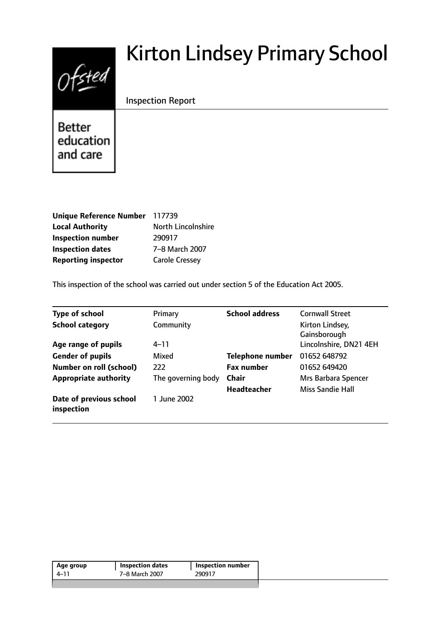# Ofsted

# Kirton Lindsey Primary School

# Inspection Report

**Better** education and care

| Unique Reference Number 117739 |                       |
|--------------------------------|-----------------------|
| <b>Local Authority</b>         | North Lincolnshire    |
| <b>Inspection number</b>       | 290917                |
| <b>Inspection dates</b>        | 7-8 March 2007        |
| <b>Reporting inspector</b>     | <b>Carole Cressey</b> |

This inspection of the school was carried out under section 5 of the Education Act 2005.

| <b>Type of school</b>                 | Primary            | <b>School address</b>   | <b>Cornwall Street</b>          |
|---------------------------------------|--------------------|-------------------------|---------------------------------|
| <b>School category</b>                | Community          |                         | Kirton Lindsey,<br>Gainsborough |
| Age range of pupils                   | 4–11               |                         | Lincolnshire, DN21 4EH          |
| <b>Gender of pupils</b>               | Mixed              | <b>Telephone number</b> | 01652 648792                    |
| <b>Number on roll (school)</b>        | 222                | <b>Fax number</b>       | 01652 649420                    |
| <b>Appropriate authority</b>          | The governing body | <b>Chair</b>            | Mrs Barbara Spencer             |
|                                       |                    | <b>Headteacher</b>      | <b>Miss Sandie Hall</b>         |
| Date of previous school<br>inspection | 1 June 2002        |                         |                                 |

| Age group | <b>Inspection dates</b> | Inspection number |
|-----------|-------------------------|-------------------|
| $4 - 11$  | 7–8 March 2007          | 290917            |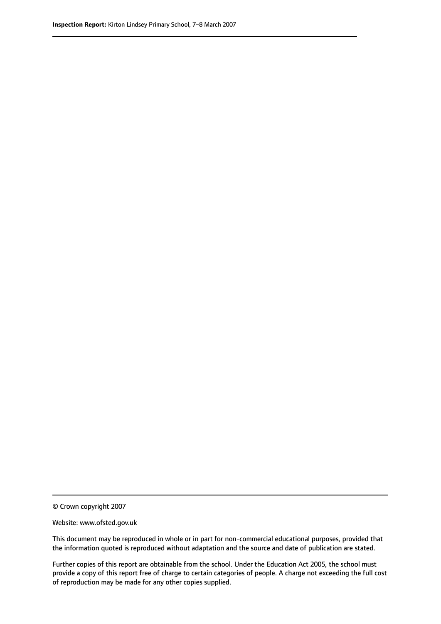© Crown copyright 2007

Website: www.ofsted.gov.uk

This document may be reproduced in whole or in part for non-commercial educational purposes, provided that the information quoted is reproduced without adaptation and the source and date of publication are stated.

Further copies of this report are obtainable from the school. Under the Education Act 2005, the school must provide a copy of this report free of charge to certain categories of people. A charge not exceeding the full cost of reproduction may be made for any other copies supplied.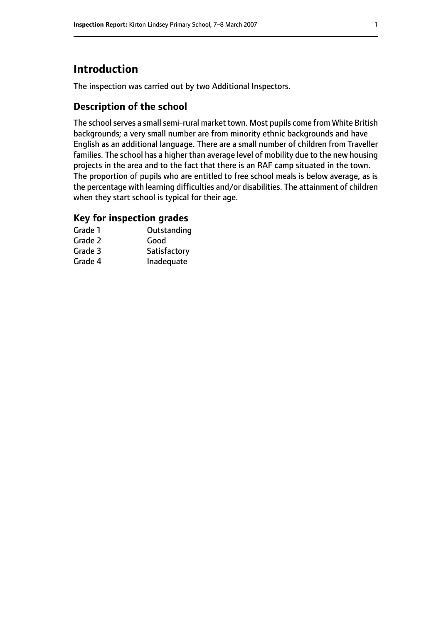# **Introduction**

The inspection was carried out by two Additional Inspectors.

#### **Description of the school**

The school serves a small semi-rural market town. Most pupils come from White British backgrounds; a very small number are from minority ethnic backgrounds and have English as an additional language. There are a small number of children from Traveller families. The school has a higher than average level of mobility due to the new housing projects in the area and to the fact that there is an RAF camp situated in the town. The proportion of pupils who are entitled to free school meals is below average, as is the percentage with learning difficulties and/or disabilities. The attainment of children when they start school is typical for their age.

#### **Key for inspection grades**

| Grade 1 | Outstanding  |
|---------|--------------|
| Grade 2 | Good         |
| Grade 3 | Satisfactory |
| Grade 4 | Inadequate   |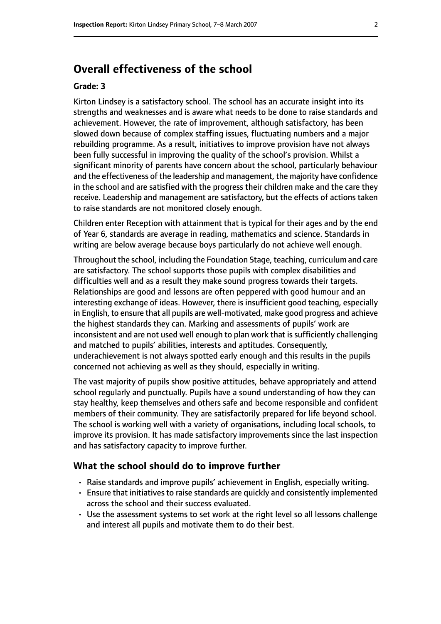# **Overall effectiveness of the school**

#### **Grade: 3**

Kirton Lindsey is a satisfactory school. The school has an accurate insight into its strengths and weaknesses and is aware what needs to be done to raise standards and achievement. However, the rate of improvement, although satisfactory, has been slowed down because of complex staffing issues, fluctuating numbers and a major rebuilding programme. As a result, initiatives to improve provision have not always been fully successful in improving the quality of the school's provision. Whilst a significant minority of parents have concern about the school, particularly behaviour and the effectiveness of the leadership and management, the majority have confidence in the school and are satisfied with the progress their children make and the care they receive. Leadership and management are satisfactory, but the effects of actions taken to raise standards are not monitored closely enough.

Children enter Reception with attainment that is typical for their ages and by the end of Year 6, standards are average in reading, mathematics and science. Standards in writing are below average because boys particularly do not achieve well enough.

Throughout the school, including the Foundation Stage, teaching, curriculum and care are satisfactory. The school supports those pupils with complex disabilities and difficulties well and as a result they make sound progress towards their targets. Relationships are good and lessons are often peppered with good humour and an interesting exchange of ideas. However, there is insufficient good teaching, especially in English, to ensure that all pupils are well-motivated, make good progress and achieve the highest standards they can. Marking and assessments of pupils' work are inconsistent and are not used well enough to plan work that is sufficiently challenging and matched to pupils' abilities, interests and aptitudes. Consequently, underachievement is not always spotted early enough and this results in the pupils concerned not achieving as well as they should, especially in writing.

The vast majority of pupils show positive attitudes, behave appropriately and attend school regularly and punctually. Pupils have a sound understanding of how they can stay healthy, keep themselves and others safe and become responsible and confident members of their community. They are satisfactorily prepared for life beyond school. The school is working well with a variety of organisations, including local schools, to improve its provision. It has made satisfactory improvements since the last inspection and has satisfactory capacity to improve further.

#### **What the school should do to improve further**

- Raise standards and improve pupils' achievement in English, especially writing.
- Ensure that initiatives to raise standards are quickly and consistently implemented across the school and their success evaluated.
- Use the assessment systems to set work at the right level so all lessons challenge and interest all pupils and motivate them to do their best.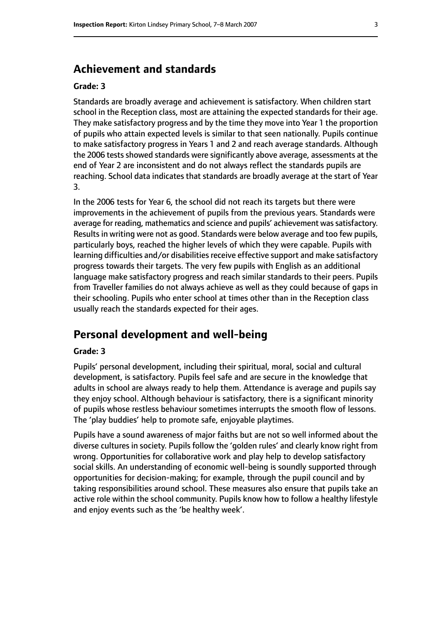# **Achievement and standards**

#### **Grade: 3**

Standards are broadly average and achievement is satisfactory. When children start school in the Reception class, most are attaining the expected standards for their age. They make satisfactory progress and by the time they move into Year 1 the proportion of pupils who attain expected levels is similar to that seen nationally. Pupils continue to make satisfactory progress in Years 1 and 2 and reach average standards. Although the 2006 tests showed standards were significantly above average, assessments at the end of Year 2 are inconsistent and do not always reflect the standards pupils are reaching. School data indicates that standards are broadly average at the start of Year 3.

In the 2006 tests for Year 6, the school did not reach its targets but there were improvements in the achievement of pupils from the previous years. Standards were average for reading, mathematics and science and pupils' achievement was satisfactory. Results in writing were not as good. Standards were below average and too few pupils, particularly boys, reached the higher levels of which they were capable. Pupils with learning difficulties and/or disabilities receive effective support and make satisfactory progress towards their targets. The very few pupils with English as an additional language make satisfactory progress and reach similar standards to their peers. Pupils from Traveller families do not always achieve as well as they could because of gaps in their schooling. Pupils who enter school at times other than in the Reception class usually reach the standards expected for their ages.

# **Personal development and well-being**

#### **Grade: 3**

Pupils' personal development, including their spiritual, moral, social and cultural development, is satisfactory. Pupils feel safe and are secure in the knowledge that adults in school are always ready to help them. Attendance is average and pupils say they enjoy school. Although behaviour is satisfactory, there is a significant minority of pupils whose restless behaviour sometimes interrupts the smooth flow of lessons. The 'play buddies' help to promote safe, enjoyable playtimes.

Pupils have a sound awareness of major faiths but are not so well informed about the diverse cultures in society. Pupils follow the 'golden rules' and clearly know right from wrong. Opportunities for collaborative work and play help to develop satisfactory social skills. An understanding of economic well-being is soundly supported through opportunities for decision-making; for example, through the pupil council and by taking responsibilities around school. These measures also ensure that pupils take an active role within the school community. Pupils know how to follow a healthy lifestyle and enjoy events such as the 'be healthy week'.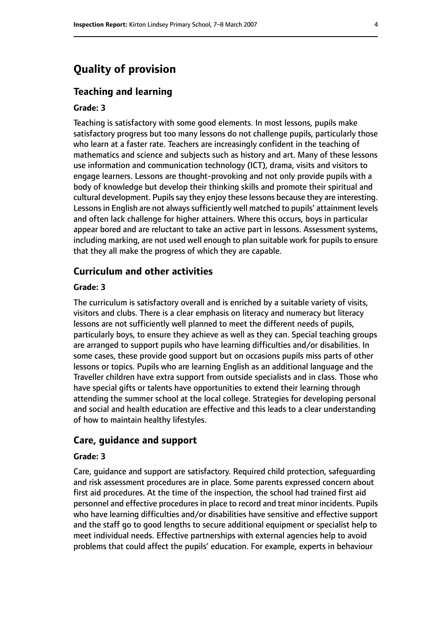# **Quality of provision**

#### **Teaching and learning**

#### **Grade: 3**

Teaching is satisfactory with some good elements. In most lessons, pupils make satisfactory progress but too many lessons do not challenge pupils, particularly those who learn at a faster rate. Teachers are increasingly confident in the teaching of mathematics and science and subjects such as history and art. Many of these lessons use information and communication technology (ICT), drama, visits and visitors to engage learners. Lessons are thought-provoking and not only provide pupils with a body of knowledge but develop their thinking skills and promote their spiritual and cultural development. Pupils say they enjoy these lessons because they are interesting. Lessons in English are not always sufficiently well matched to pupils' attainment levels and often lack challenge for higher attainers. Where this occurs, boys in particular appear bored and are reluctant to take an active part in lessons. Assessment systems, including marking, are not used well enough to plan suitable work for pupils to ensure that they all make the progress of which they are capable.

#### **Curriculum and other activities**

#### **Grade: 3**

The curriculum is satisfactory overall and is enriched by a suitable variety of visits, visitors and clubs. There is a clear emphasis on literacy and numeracy but literacy lessons are not sufficiently well planned to meet the different needs of pupils, particularly boys, to ensure they achieve as well as they can. Special teaching groups are arranged to support pupils who have learning difficulties and/or disabilities. In some cases, these provide good support but on occasions pupils miss parts of other lessons or topics. Pupils who are learning English as an additional language and the Traveller children have extra support from outside specialists and in class. Those who have special gifts or talents have opportunities to extend their learning through attending the summer school at the local college. Strategies for developing personal and social and health education are effective and this leads to a clear understanding of how to maintain healthy lifestyles.

#### **Care, guidance and support**

#### **Grade: 3**

Care, guidance and support are satisfactory. Required child protection, safeguarding and risk assessment procedures are in place. Some parents expressed concern about first aid procedures. At the time of the inspection, the school had trained first aid personnel and effective procedures in place to record and treat minor incidents. Pupils who have learning difficulties and/or disabilities have sensitive and effective support and the staff go to good lengths to secure additional equipment or specialist help to meet individual needs. Effective partnerships with external agencies help to avoid problems that could affect the pupils' education. For example, experts in behaviour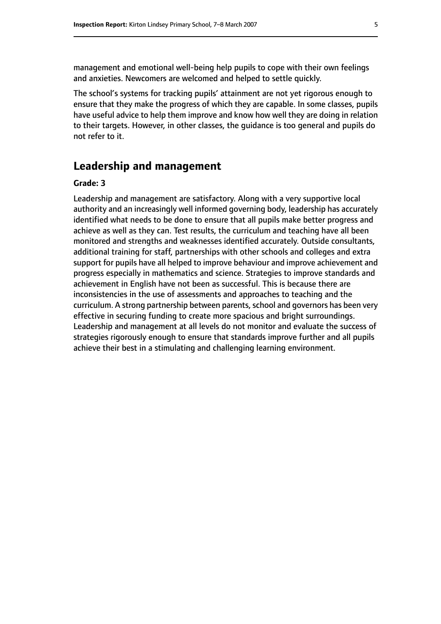management and emotional well-being help pupils to cope with their own feelings and anxieties. Newcomers are welcomed and helped to settle quickly.

The school's systems for tracking pupils' attainment are not yet rigorous enough to ensure that they make the progress of which they are capable. In some classes, pupils have useful advice to help them improve and know how well they are doing in relation to their targets. However, in other classes, the guidance is too general and pupils do not refer to it.

#### **Leadership and management**

#### **Grade: 3**

Leadership and management are satisfactory. Along with a very supportive local authority and an increasingly well informed governing body, leadership has accurately identified what needs to be done to ensure that all pupils make better progress and achieve as well as they can. Test results, the curriculum and teaching have all been monitored and strengths and weaknesses identified accurately. Outside consultants, additional training for staff, partnerships with other schools and colleges and extra support for pupils have all helped to improve behaviour and improve achievement and progress especially in mathematics and science. Strategies to improve standards and achievement in English have not been as successful. This is because there are inconsistencies in the use of assessments and approaches to teaching and the curriculum. A strong partnership between parents, school and governors has been very effective in securing funding to create more spacious and bright surroundings. Leadership and management at all levels do not monitor and evaluate the success of strategies rigorously enough to ensure that standards improve further and all pupils achieve their best in a stimulating and challenging learning environment.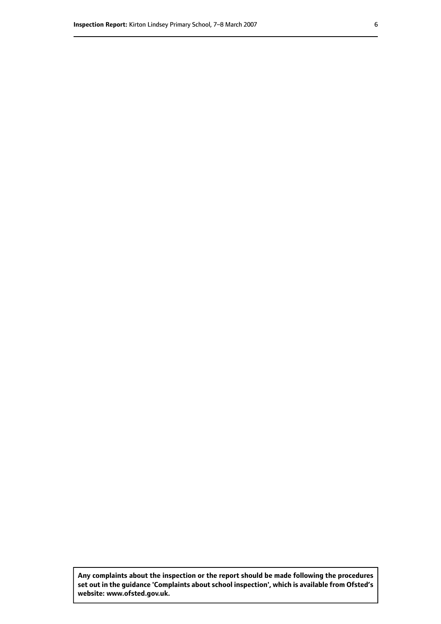**Any complaints about the inspection or the report should be made following the procedures set out inthe guidance 'Complaints about school inspection', whichis available from Ofsted's website: www.ofsted.gov.uk.**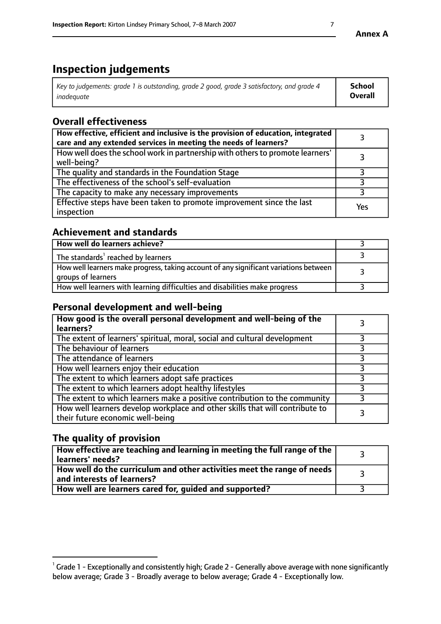# **Inspection judgements**

| Key to judgements: grade 1 is outstanding, grade 2 good, grade 3 satisfactory, and grade 4 | School         |
|--------------------------------------------------------------------------------------------|----------------|
| inadeauate                                                                                 | <b>Overall</b> |

# **Overall effectiveness**

| How effective, efficient and inclusive is the provision of education, integrated<br>care and any extended services in meeting the needs of learners? |     |
|------------------------------------------------------------------------------------------------------------------------------------------------------|-----|
| How well does the school work in partnership with others to promote learners'<br>well-being?                                                         |     |
| The quality and standards in the Foundation Stage                                                                                                    |     |
| The effectiveness of the school's self-evaluation                                                                                                    |     |
| The capacity to make any necessary improvements                                                                                                      |     |
| Effective steps have been taken to promote improvement since the last<br>inspection                                                                  | Yes |

#### **Achievement and standards**

| How well do learners achieve?                                                                               |  |
|-------------------------------------------------------------------------------------------------------------|--|
| The standards <sup>1</sup> reached by learners                                                              |  |
| How well learners make progress, taking account of any significant variations between<br>groups of learners |  |
| How well learners with learning difficulties and disabilities make progress                                 |  |

## **Personal development and well-being**

| How good is the overall personal development and well-being of the<br>learners?                                  |  |
|------------------------------------------------------------------------------------------------------------------|--|
| The extent of learners' spiritual, moral, social and cultural development                                        |  |
| The behaviour of learners                                                                                        |  |
| The attendance of learners                                                                                       |  |
| How well learners enjoy their education                                                                          |  |
| The extent to which learners adopt safe practices                                                                |  |
| The extent to which learners adopt healthy lifestyles                                                            |  |
| The extent to which learners make a positive contribution to the community                                       |  |
| How well learners develop workplace and other skills that will contribute to<br>their future economic well-being |  |

# **The quality of provision**

| $\Box$ How effective are teaching and learning in meeting the full range of the $\Box$<br>  learners' needs?        |  |
|---------------------------------------------------------------------------------------------------------------------|--|
| $\mid$ How well do the curriculum and other activities meet the range of needs<br>$\mid$ and interests of learners? |  |
| How well are learners cared for, guided and supported?                                                              |  |

 $^1$  Grade 1 - Exceptionally and consistently high; Grade 2 - Generally above average with none significantly below average; Grade 3 - Broadly average to below average; Grade 4 - Exceptionally low.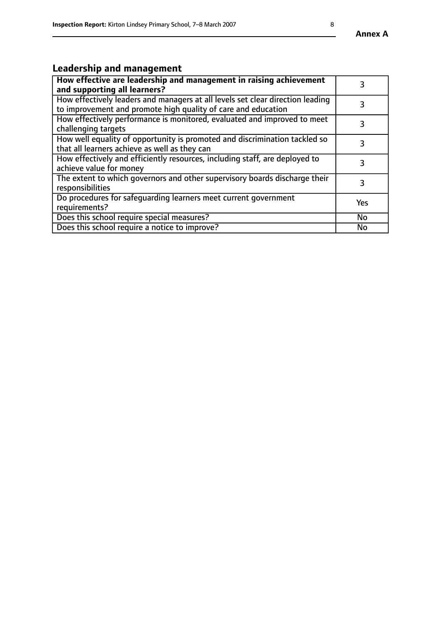#### **Annex A**

# **Leadership and management**

| How effective are leadership and management in raising achievement<br>and supporting all learners?                                              |     |
|-------------------------------------------------------------------------------------------------------------------------------------------------|-----|
| How effectively leaders and managers at all levels set clear direction leading<br>to improvement and promote high quality of care and education |     |
| How effectively performance is monitored, evaluated and improved to meet<br>challenging targets                                                 | 3   |
| How well equality of opportunity is promoted and discrimination tackled so<br>that all learners achieve as well as they can                     |     |
| How effectively and efficiently resources, including staff, are deployed to<br>achieve value for money                                          | З   |
| The extent to which governors and other supervisory boards discharge their<br>responsibilities                                                  | 3   |
| Do procedures for safequarding learners meet current government<br>requirements?                                                                | Yes |
| Does this school require special measures?                                                                                                      | No  |
| Does this school require a notice to improve?                                                                                                   | No  |